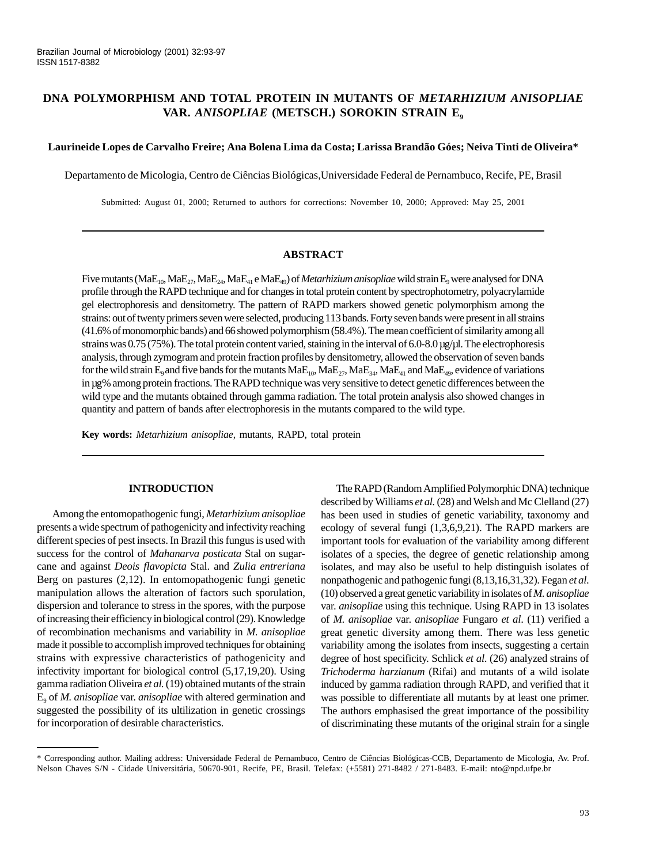# **DNA POLYMORPHISM AND TOTAL PROTEIN IN MUTANTS OF** *METARHIZIUM ANISOPLIAE* VAR. *ANISOPLIAE* (METSCH.) SOROKIN STRAIN E<sub>9</sub>

## **Laurineide Lopes de Carvalho Freire; Ana Bolena Lima da Costa; Larissa Brandão Góes; Neiva Tinti de Oliveira\***

Departamento de Micologia, Centro de Ciências Biológicas,Universidade Federal de Pernambuco, Recife, PE, Brasil

Submitted: August 01, 2000; Returned to authors for corrections: November 10, 2000; Approved: May 25, 2001

## **ABSTRACT**

Five mutants (MaE<sub>10</sub>, MaE<sub>21</sub>, MaE<sub>24</sub>, MaE<sub>41</sub> e MaE<sub>49</sub>) of *Metarhizium anisopliae* wild strain E<sub>9</sub> were analysed for DNA profile through the RAPD technique and for changes in total protein content by spectrophotometry, polyacrylamide gel electrophoresis and densitometry. The pattern of RAPD markers showed genetic polymorphism among the strains: out of twenty primers seven were selected, producing 113 bands. Forty seven bands were present in all strains (41.6% of monomorphic bands) and 66 showed polymorphism (58.4%). The mean coefficient of similarity among all strains was 0.75 (75%). The total protein content varied, staining in the interval of 6.0-8.0 µg/µl. The electrophoresis analysis, through zymogram and protein fraction profiles by densitometry, allowed the observation of seven bands for the wild strain E<sub>9</sub> and five bands for the mutants  $MAE_{10}$ ,  $MAE_{27}$ ,  $MAE_{34}$ ,  $MAE_{41}$  and  $MAE_{49}$ , evidence of variations in µg% among protein fractions. The RAPD technique was very sensitive to detect genetic differences between the wild type and the mutants obtained through gamma radiation. The total protein analysis also showed changes in quantity and pattern of bands after electrophoresis in the mutants compared to the wild type.

**Key words:** *Metarhizium anisopliae*, mutants, RAPD, total protein

## **INTRODUCTION**

Among the entomopathogenic fungi, *Metarhizium anisopliae* presents a wide spectrum of pathogenicity and infectivity reaching different species of pest insects. In Brazil this fungus is used with success for the control of *Mahanarva posticata* Stal on sugarcane and against *Deois flavopicta* Stal. and *Zulia entreriana* Berg on pastures (2,12). In entomopathogenic fungi genetic manipulation allows the alteration of factors such sporulation, dispersion and tolerance to stress in the spores, with the purpose of increasing their efficiency in biological control (29). Knowledge of recombination mechanisms and variability in *M. anisopliae* made it possible to accomplish improved techniques for obtaining strains with expressive characteristics of pathogenicity and infectivity important for biological control (5,17,19,20). Using gamma radiation Oliveira *et al.* (19) obtained mutants of the strain E9 of *M. anisopliae* var. *anisopliae* with altered germination and suggested the possibility of its ultilization in genetic crossings for incorporation of desirable characteristics.

The RAPD (Random Amplified Polymorphic DNA) technique described by Williams *et al.* (28) and Welsh and Mc Clelland (27) has been used in studies of genetic variability, taxonomy and ecology of several fungi (1,3,6,9,21). The RAPD markers are important tools for evaluation of the variability among different isolates of a species, the degree of genetic relationship among isolates, and may also be useful to help distinguish isolates of nonpathogenic and pathogenic fungi (8,13,16,31,32). Fegan *et al*. (10) observed a great genetic variability in isolates of *M. anisopliae* var. *anisopliae* using this technique. Using RAPD in 13 isolates of *M. anisopliae* var. *anisopliae* Fungaro *et al*. (11) verified a great genetic diversity among them. There was less genetic variability among the isolates from insects, suggesting a certain degree of host specificity. Schlick *et al*. (26) analyzed strains of *Trichoderma harzianum* (Rifai) and mutants of a wild isolate induced by gamma radiation through RAPD, and verified that it was possible to differentiate all mutants by at least one primer. The authors emphasised the great importance of the possibility of discriminating these mutants of the original strain for a single

<sup>\*</sup> Corresponding author. Mailing address: Universidade Federal de Pernambuco, Centro de Ciências Biológicas-CCB, Departamento de Micologia, Av. Prof. Nelson Chaves S/N - Cidade Universitária, 50670-901, Recife, PE, Brasil. Telefax: (+5581) 271-8482 / 271-8483. E-mail: nto@npd.ufpe.br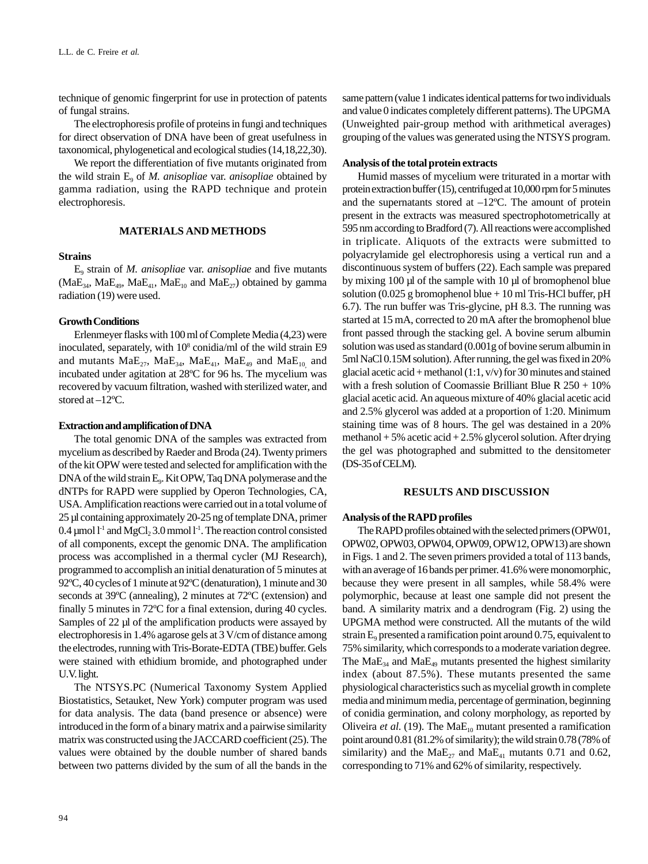technique of genomic fingerprint for use in protection of patents of fungal strains.

The electrophoresis profile of proteins in fungi and techniques for direct observation of DNA have been of great usefulness in taxonomical, phylogenetical and ecological studies (14,18,22,30).

We report the differentiation of five mutants originated from the wild strain  $E_q$  of *M. anisopliae* var. *anisopliae* obtained by gamma radiation, using the RAPD technique and protein electrophoresis.

### **MATERIALS AND METHODS**

## **Strains**

E9 strain of *M. anisopliae* var. *anisopliae* and five mutants  $(MaE_{34}, MaE_{49}, MaE_{41}, MaE_{10}$  and  $MaE_{27})$  obtained by gamma radiation (19) were used.

#### **Growth Conditions**

Erlenmeyer flasks with 100 ml of Complete Media (4,23) were inoculated, separately, with 10<sup>8</sup> conidia/ml of the wild strain E9 and mutants  $\text{MaE}_{27}$ ,  $\text{MaE}_{34}$ ,  $\text{MaE}_{41}$ ,  $\text{MaE}_{49}$  and  $\text{MaE}_{10}$  and incubated under agitation at 28ºC for 96 hs. The mycelium was recovered by vacuum filtration, washed with sterilized water, and stored at –12ºC.

#### **Extraction and amplification of DNA**

The total genomic DNA of the samples was extracted from mycelium as described by Raeder and Broda (24). Twenty primers of the kit OPW were tested and selected for amplification with the DNA of the wild strain E<sub>9</sub>. Kit OPW, Taq DNA polymerase and the dNTPs for RAPD were supplied by Operon Technologies, CA, USA. Amplification reactions were carried out in a total volume of 25 µl containing approximately 20-25 ng of template DNA, primer  $0.4 \mu$ mol l<sup>-1</sup> and MgCl<sub>2</sub> 3.0 mmol l<sup>-1</sup>. The reaction control consisted of all components, except the genomic DNA. The amplification process was accomplished in a thermal cycler (MJ Research), programmed to accomplish an initial denaturation of 5 minutes at 92ºC, 40 cycles of 1 minute at 92ºC (denaturation), 1 minute and 30 seconds at 39ºC (annealing), 2 minutes at 72ºC (extension) and finally 5 minutes in 72ºC for a final extension, during 40 cycles. Samples of 22 µl of the amplification products were assayed by electrophoresis in 1.4% agarose gels at 3 V/cm of distance among the electrodes, running with Tris-Borate-EDTA (TBE) buffer. Gels were stained with ethidium bromide, and photographed under U.V. light.

The NTSYS.PC (Numerical Taxonomy System Applied Biostatistics, Setauket, New York) computer program was used for data analysis. The data (band presence or absence) were introduced in the form of a binary matrix and a pairwise similarity matrix was constructed using the JACCARD coefficient (25). The values were obtained by the double number of shared bands between two patterns divided by the sum of all the bands in the same pattern (value 1 indicates identical patterns for two individuals and value 0 indicates completely different patterns). The UPGMA (Unweighted pair-group method with arithmetical averages) grouping of the values was generated using the NTSYS program.

#### **Analysis of the total protein extracts**

Humid masses of mycelium were triturated in a mortar with protein extraction buffer (15), centrifuged at 10,000 rpm for 5 minutes and the supernatants stored at  $-12^{\circ}$ C. The amount of protein present in the extracts was measured spectrophotometrically at 595 nm according to Bradford (7). All reactions were accomplished in triplicate. Aliquots of the extracts were submitted to polyacrylamide gel electrophoresis using a vertical run and a discontinuous system of buffers (22). Each sample was prepared by mixing 100 µl of the sample with 10 µl of bromophenol blue solution (0.025 g bromophenol blue  $+10$  ml Tris-HCl buffer, pH 6.7). The run buffer was Tris-glycine, pH 8.3. The running was started at 15 mA, corrected to 20 mA after the bromophenol blue front passed through the stacking gel. A bovine serum albumin solution was used as standard (0.001g of bovine serum albumin in 5ml NaCl 0.15M solution). After running, the gel was fixed in 20% glacial acetic acid + methanol (1:1,  $v/v$ ) for 30 minutes and stained with a fresh solution of Coomassie Brilliant Blue R 250 + 10% glacial acetic acid. An aqueous mixture of 40% glacial acetic acid and 2.5% glycerol was added at a proportion of 1:20. Minimum staining time was of 8 hours. The gel was destained in a 20% methanol + 5% acetic acid + 2.5% glycerol solution. After drying the gel was photographed and submitted to the densitometer (DS-35 of CELM).

### **RESULTS AND DISCUSSION**

### **Analysis of the RAPD profiles**

The RAPD profiles obtained with the selected primers (OPW01, OPW02, OPW03, OPW04, OPW09, OPW12, OPW13) are shown in Figs. 1 and 2. The seven primers provided a total of 113 bands, with an average of 16 bands per primer. 41.6% were monomorphic, because they were present in all samples, while 58.4% were polymorphic, because at least one sample did not present the band. A similarity matrix and a dendrogram (Fig. 2) using the UPGMA method were constructed. All the mutants of the wild strain  $E_9$  presented a ramification point around 0.75, equivalent to 75% similarity, which corresponds to a moderate variation degree. The  $MaE_{34}$  and  $MaE_{49}$  mutants presented the highest similarity index (about 87.5%). These mutants presented the same physiological characteristics such as mycelial growth in complete media and minimum media, percentage of germination, beginning of conidia germination, and colony morphology, as reported by Oliveira *et al.* (19). The  $MaE_{10}$  mutant presented a ramification point around 0.81 (81.2% of similarity); the wild strain 0.78 (78% of similarity) and the  $\text{MaE}_{27}$  and  $\text{MaE}_{41}$  mutants 0.71 and 0.62, corresponding to 71% and 62% of similarity, respectively.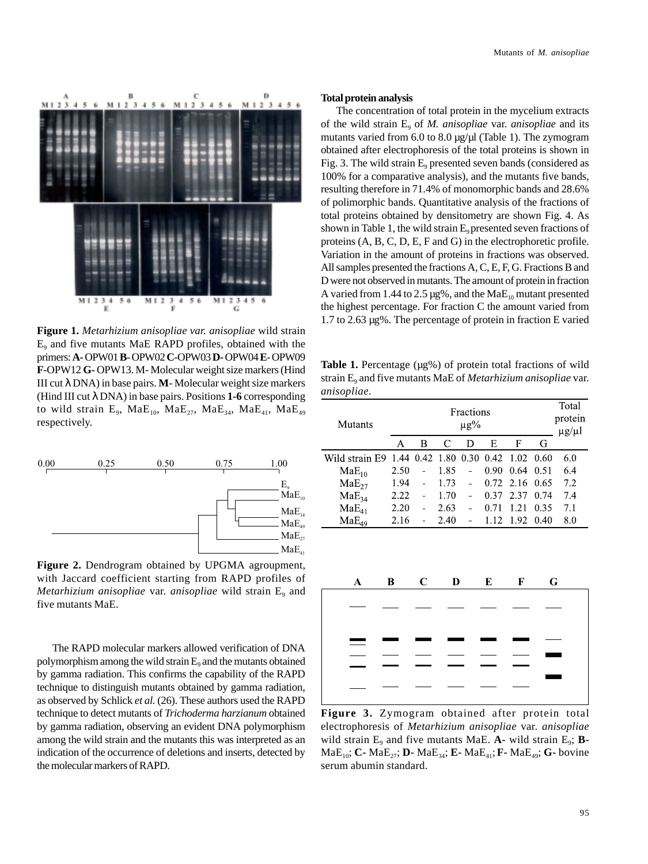

**Figure 1.** *Metarhizium anisopliae var. anisopliae* wild strain  $E<sub>9</sub>$  and five mutants MaE RAPD profiles, obtained with the primers: **A-** OPW01 **B**- OPW02 **C**-OPW03 **D-** OPW04 **E**- OPW09 **F**-OPW12 **G-** OPW13. M- Molecular weight size markers (Hind III cut λ DNA) in base pairs. **M**- Molecular weight size markers (Hind III cut λ DNA) in base pairs. Positions **1-6** corresponding to wild strain  $E_9$ , Ma $E_{10}$ , Ma $E_{27}$ , Ma $E_{34}$ , Ma $E_{41}$ , Ma $E_{49}$ respectively.



**Figure 2.** Dendrogram obtained by UPGMA agroupment, with Jaccard coefficient starting from RAPD profiles of *Metarhizium anisopliae* var. *anisopliae* wild strain E<sub>9</sub> and five mutants MaE.

The RAPD molecular markers allowed verification of DNA polymorphism among the wild strain  $E<sub>9</sub>$  and the mutants obtained by gamma radiation. This confirms the capability of the RAPD technique to distinguish mutants obtained by gamma radiation, as observed by Schlick *et al.* (26). These authors used the RAPD technique to detect mutants of *Trichoderma harzianum* obtained by gamma radiation, observing an evident DNA polymorphism among the wild strain and the mutants this was interpreted as an indication of the occurrence of deletions and inserts, detected by the molecular markers of RAPD.

## **Total protein analysis**

The concentration of total protein in the mycelium extracts of the wild strain E9 of *M. anisopliae* var. *anisopliae* and its mutants varied from 6.0 to 8.0 µg/µl (Table 1). The zymogram obtained after electrophoresis of the total proteins is shown in Fig. 3. The wild strain  $E_9$  presented seven bands (considered as 100% for a comparative analysis), and the mutants five bands, resulting therefore in 71.4% of monomorphic bands and 28.6% of polimorphic bands. Quantitative analysis of the fractions of total proteins obtained by densitometry are shown Fig. 4. As shown in Table 1, the wild strain  $E_9$  presented seven fractions of proteins (A, B, C, D, E, F and G) in the electrophoretic profile. Variation in the amount of proteins in fractions was observed. All samples presented the fractions A, C, E, F, G. Fractions B and D were not observed in mutants. The amount of protein in fraction A varied from 1.44 to 2.5  $\mu$ g%, and the Ma $E_{10}$  mutant presented the highest percentage. For fraction C the amount varied from 1.7 to 2.63 µg%. The percentage of protein in fraction E varied

**Table 1.** Percentage ( $\mu$ g%) of protein total fractions of wild strain E9 and five mutants MaE of *Metarhizium anisopliae* var. *anisopliae*.

| Mutants                                           | <b>Fractions</b><br>$\mu$ g% |        |      |                |      |                |      | Total<br>protein<br>$\mu$ g/ $\mu$ l |
|---------------------------------------------------|------------------------------|--------|------|----------------|------|----------------|------|--------------------------------------|
|                                                   | А                            | B      | C    | Ð              | E    | F              | G    |                                      |
| Wild strain E9 1.44 0.42 1.80 0.30 0.42 1.02 0.60 |                              |        |      |                |      |                |      | 6.0                                  |
| $MaE_{10}$                                        | 2.50                         |        | 1.85 |                | 0.90 | 0.64           | 0.51 | 6.4                                  |
| $MaE_{27}$                                        | 1.94                         | ÷,     | 1.73 | $\overline{a}$ |      | 0.72 2.16 0.65 |      | 7.2                                  |
| $MaE_{34}$                                        | 2.22                         | $\sim$ | 1 70 |                | 0.37 | 2.37           | 0.74 | 7.4                                  |
| $MaE_{41}$                                        | 2.20                         |        | 2.63 | $\overline{a}$ | 0.71 | 1 2 1          | 0.35 | 7.1                                  |
| $MaE_{49}$                                        | 2.16                         |        | 2.40 |                |      | 1.12 1.92 0.40 |      | 8.0                                  |
|                                                   |                              |        |      |                |      |                |      |                                      |



**Figure 3.** Zymogram obtained after protein total electrophoresis of *Metarhizium anisopliae* var. *anisopliae* wild strain  $E_9$  and five mutants MaE.  $A$ - wild strain  $E_9$ ;  $B$ -MaE10; **C-** MaE27; **D-** MaE34; **E-** MaE41;**F-** MaE49; **G-** bovine serum abumin standard.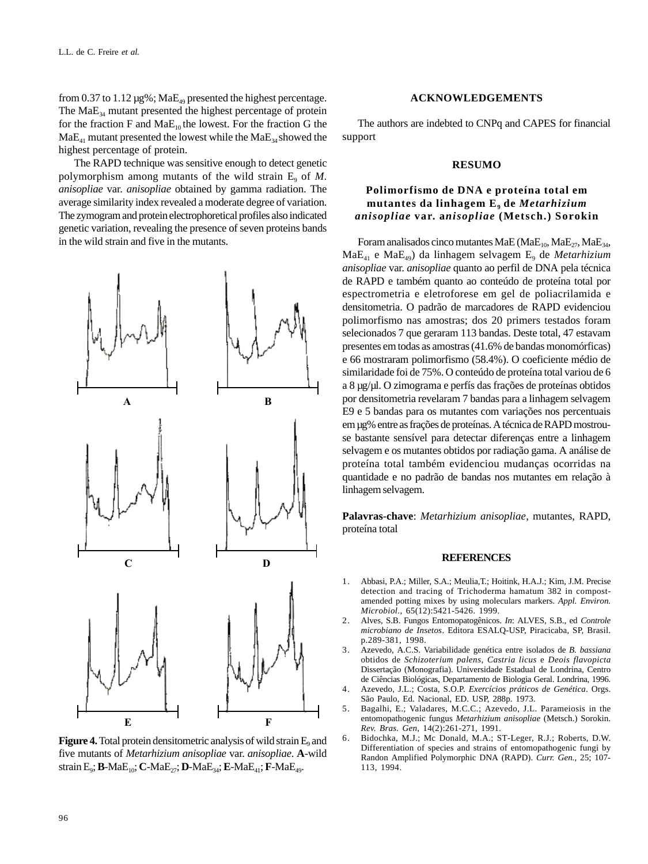from 0.37 to 1.12  $\mu$ g%; MaE<sub>49</sub> presented the highest percentage. The  $MaE_{34}$  mutant presented the highest percentage of protein for the fraction F and  $MaE_{10}$  the lowest. For the fraction G the  $MaE<sub>41</sub>$  mutant presented the lowest while the  $MaE<sub>34</sub>$  showed the highest percentage of protein.

The RAPD technique was sensitive enough to detect genetic polymorphism among mutants of the wild strain  $E_9$  of  $M$ . *anisopliae* var. *anisopliae* obtained by gamma radiation. The average similarity index revealed a moderate degree of variation. The zymogram and protein electrophoretical profiles also indicated genetic variation, revealing the presence of seven proteins bands in the wild strain and five in the mutants.



**Figure 4.** Total protein densitometric analysis of wild strain E<sub>9</sub> and five mutants of *Metarhizium anisopliae* var. *anisopliae*. **A**-wild strain  $E_9$ ; **B**-Ma $E_{10}$ ; **C**-Ma $E_{27}$ ; **D**-Ma $E_{34}$ ; **E**-Ma $E_{41}$ ; **F**-Ma $E_{49}$ .

## **ACKNOWLEDGEMENTS**

The authors are indebted to CNPq and CAPES for financial support

## **RESUMO**

# **Polimorfismo de DNA e proteína total em mutantes da linhagem E9 de** *Metarhizium anisopliae* **var. a***nisopliae* **(Metsch.) Sorokin**

Foram analisados cinco mutantes MaE (MaE $_{10}$ , MaE $_{27}$ , MaE $_{34}$ , MaE41 e MaE49) da linhagem selvagem E9 de *Metarhizium anisopliae* var. *anisopliae* quanto ao perfil de DNA pela técnica de RAPD e também quanto ao conteúdo de proteína total por espectrometria e eletroforese em gel de poliacrilamida e densitometria. O padrão de marcadores de RAPD evidenciou polimorfismo nas amostras; dos 20 primers testados foram selecionados 7 que geraram 113 bandas. Deste total, 47 estavam presentes em todas as amostras (41.6% de bandas monomórficas) e 66 mostraram polimorfismo (58.4%). O coeficiente médio de similaridade foi de 75%. O conteúdo de proteína total variou de 6 a 8 µg/µl. O zimograma e perfís das frações de proteínas obtidos por densitometria revelaram 7 bandas para a linhagem selvagem E9 e 5 bandas para os mutantes com variações nos percentuais em µg% entre as frações de proteínas. A técnica de RAPD mostrouse bastante sensível para detectar diferenças entre a linhagem selvagem e os mutantes obtidos por radiação gama. A análise de proteína total também evidenciou mudanças ocorridas na quantidade e no padrão de bandas nos mutantes em relação à linhagem selvagem.

**Palavras-chave**: *Metarhizium anisopliae*, mutantes, RAPD, proteína total

#### **REFERENCES**

- 1. Abbasi, P.A.; Miller, S.A.; Meulia,T.; Hoitink, H.A.J.; Kim, J.M. Precise detection and tracing of Trichoderma hamatum 382 in compostamended potting mixes by using moleculars markers. *Appl. Environ. Microbiol.*, 65(12):5421-5426. 1999.
- 2. Alves, S.B. Fungos Entomopatogênicos. *In*: ALVES, S.B., ed *Controle microbiano de Insetos*. Editora ESALQ-USP, Piracicaba, SP, Brasil. p.289-381, 1998.
- 3. Azevedo, A.C.S. Variabilidade genética entre isolados de *B. bassiana* obtidos de *Schizoterium palens*, *Castria licus* e *Deois flavopicta* Dissertação (Monografia). Universidade Estadual de Londrina, Centro de Ciências Biológicas, Departamento de Biologia Geral. Londrina, 1996.
- 4. Azevedo, J.L.; Costa, S.O.P. *Exercícios práticos de Genética*. Orgs. São Paulo, Ed. Nacional, ED. USP, 288p. 1973.
- 5. Bagalhi, E.; Valadares, M.C.C.; Azevedo, J.L. Parameiosis in the entomopathogenic fungus *Metarhizium anisopliae* (Metsch.) Sorokin. *Rev. Bras. Gen*, 14(2):261-271, 1991.
- 6. Bidochka, M.J.; Mc Donald, M.A.; ST-Leger, R.J.; Roberts, D.W. Differentiation of species and strains of entomopathogenic fungi by Randon Amplified Polymorphic DNA (RAPD). *Curr. Gen.*, 25; 107- 113, 1994.